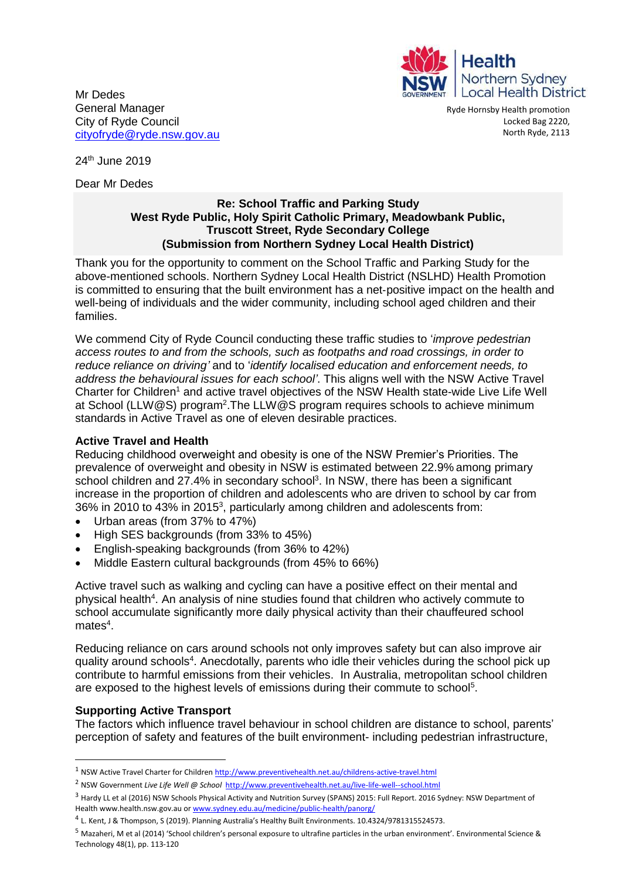

Mr Dedes General Manager City of Ryde Council [cityofryde@ryde.nsw.gov.au](mailto:cityofryde@ryde.nsw.gov.au)

Ryde Hornsby Health promotion Locked Bag 2220, North Ryde, 2113

24th June 2019

Dear Mr Dedes

### **Re: School Traffic and Parking Study West Ryde Public, Holy Spirit Catholic Primary, Meadowbank Public, Truscott Street, Ryde Secondary College (Submission from Northern Sydney Local Health District)**

Thank you for the opportunity to comment on the School Traffic and Parking Study for the above-mentioned schools. Northern Sydney Local Health District (NSLHD) Health Promotion is committed to ensuring that the built environment has a net‐positive impact on the health and well-being of individuals and the wider community, including school aged children and their families.

We commend City of Ryde Council conducting these traffic studies to '*improve pedestrian access routes to and from the schools, such as footpaths and road crossings, in order to reduce reliance on driving'* and to '*identify localised education and enforcement needs, to address the behavioural issues for each school'*. This aligns well with the NSW Active Travel Charter for Children<sup>1</sup> and active travel objectives of the NSW Health state-wide Live Life Well at School (LLW@S) program<sup>2</sup>. The LLW@S program requires schools to achieve minimum standards in Active Travel as one of eleven desirable practices.

# **Active Travel and Health**

Reducing childhood overweight and obesity is one of the NSW Premier's Priorities. The prevalence of overweight and obesity in NSW is estimated between 22.9% among primary school children and 27.4% in secondary school<sup>3</sup>. In NSW, there has been a significant increase in the proportion of children and adolescents who are driven to school by car from 36% in 2010 to 43% in 2015<sup>3</sup>, particularly among children and adolescents from:

- Urban areas (from 37% to 47%)
- High SES backgrounds (from 33% to 45%)
- English-speaking backgrounds (from 36% to 42%)
- Middle Eastern cultural backgrounds (from 45% to 66%)

Active travel such as walking and cycling can have a positive effect on their mental and physical health<sup>4</sup>. An analysis of nine studies found that children who actively commute to school accumulate significantly more daily physical activity than their chauffeured school  $mates<sup>4</sup>$ .

Reducing reliance on cars around schools not only improves safety but can also improve air quality around schools<sup>4</sup>. Anecdotally, parents who idle their vehicles during the school pick up contribute to harmful emissions from their vehicles. In Australia, metropolitan school children are exposed to the highest levels of emissions during their commute to school<sup>5</sup>.

# **Supporting Active Transport**

The factors which influence travel behaviour in school children are distance to school, parents' perception of safety and features of the built environment- including pedestrian infrastructure,

<sup>1</sup> NSW Active Travel Charter for Childre[n http://www.preventivehealth.net.au/childrens-active-travel.html](http://www.preventivehealth.net.au/childrens-active-travel.html)

<sup>2</sup> NSW Government *Live Life Well @ School*<http://www.preventivehealth.net.au/live-life-well--school.html>

<sup>&</sup>lt;sup>3</sup> Hardv LL et al (2016) NSW Schools Physical Activity and Nutrition Survey (SPANS) 2015: Full Report. 2016 Sydney: NSW Department of Health www.health.nsw.gov.au o[r www.sydney.edu.au/medicine/public-health/panorg/](http://www.sydney.edu.au/medicine/public-health/panorg/) 

<sup>&</sup>lt;sup>4</sup> L. Kent, J & Thompson, S (2019). Planning Australia's Healthy Built Environments. 10.4324/9781315524573.

<sup>5</sup> Mazaheri, M et al (2014) 'School children's personal exposure to ultrafine particles in the urban environment'. Environmental Science & Technology 48(1), pp. 113-120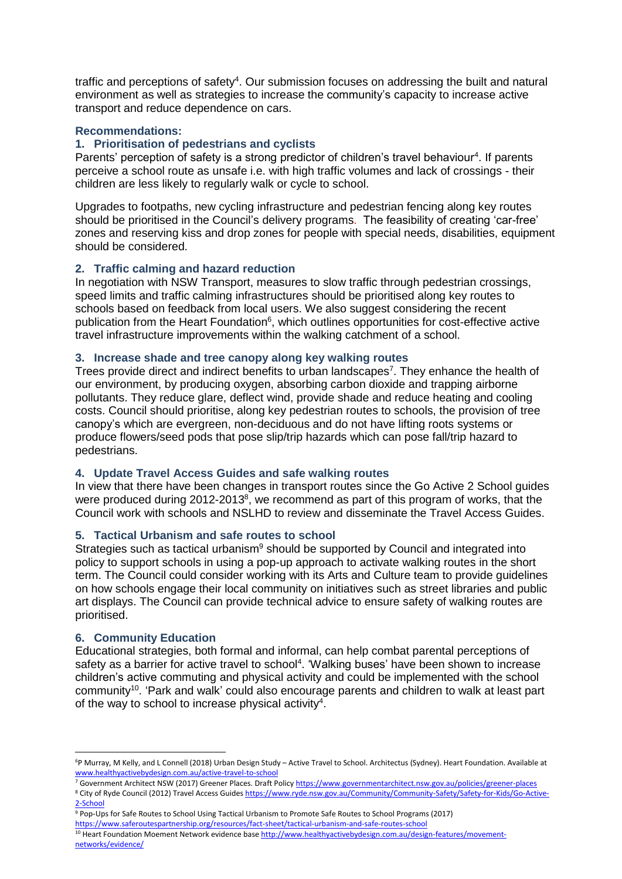traffic and perceptions of safety<sup>4</sup>. Our submission focuses on addressing the built and natural environment as well as strategies to increase the community's capacity to increase active transport and reduce dependence on cars.

### **Recommendations:**

### **1. Prioritisation of pedestrians and cyclists**

Parents' perception of safety is a strong predictor of children's travel behaviour<sup>4</sup>. If parents perceive a school route as unsafe i.e. with high traffic volumes and lack of crossings - their children are less likely to regularly walk or cycle to school.

Upgrades to footpaths, new cycling infrastructure and pedestrian fencing along key routes should be prioritised in the Council's delivery programs. The feasibility of creating 'car-free' zones and reserving kiss and drop zones for people with special needs, disabilities, equipment should be considered.

### **2. Traffic calming and hazard reduction**

In negotiation with NSW Transport, measures to slow traffic through pedestrian crossings, speed limits and traffic calming infrastructures should be prioritised along key routes to schools based on feedback from local users. We also suggest considering the recent publication from the Heart Foundation<sup>6</sup>, which outlines opportunities for cost-effective active travel infrastructure improvements within the walking catchment of a school.

#### **3. Increase shade and tree canopy along key walking routes**

Trees provide direct and indirect benefits to urban landscapes<sup>7</sup>. They enhance the health of our environment, by producing oxygen, absorbing carbon dioxide and trapping airborne pollutants. They reduce glare, deflect wind, provide shade and reduce heating and cooling costs. Council should prioritise, along key pedestrian routes to schools, the provision of tree canopy's which are evergreen, non-deciduous and do not have lifting roots systems or produce flowers/seed pods that pose slip/trip hazards which can pose fall/trip hazard to pedestrians.

#### **4. Update Travel Access Guides and safe walking routes**

In view that there have been changes in transport routes since the Go Active 2 School guides were produced during 2012-2013<sup>8</sup>, we recommend as part of this program of works, that the Council work with schools and NSLHD to review and disseminate the Travel Access Guides.

# **5. Tactical Urbanism and safe routes to school**

Strategies such as tactical urbanism<sup>9</sup> should be supported by Council and integrated into policy to support schools in using a pop-up approach to activate walking routes in the short term. The Council could consider working with its Arts and Culture team to provide guidelines on how schools engage their local community on initiatives such as street libraries and public art displays. The Council can provide technical advice to ensure safety of walking routes are prioritised.

# **6. Community Education**

1

Educational strategies, both formal and informal, can help combat parental perceptions of safety as a barrier for active travel to school<sup>4</sup>. 'Walking buses' have been shown to increase children's active commuting and physical activity and could be implemented with the school community<sup>10</sup>. 'Park and walk' could also encourage parents and children to walk at least part of the way to school to increase physical activity<sup>4</sup>.

<sup>6</sup>P Murray, M Kelly, and L Connell (2018) Urban Design Study – Active Travel to School. Architectus (Sydney). Heart Foundation. Available at [www.healthyactivebydesign.com.au/active-travel-to-school](http://www.healthyactivebydesign.com.au/active-travel-to-school)

<sup>7</sup> Government Architect NSW (2017) Greener Places. Draft Polic[y https://www.governmentarchitect.nsw.gov.au/policies/greener-places](https://www.governmentarchitect.nsw.gov.au/policies/greener-places) 8 City of Ryde Council (2012) Travel Access Guide[s https://www.ryde.nsw.gov.au/Community/Community-Safety/Safety-for-Kids/Go-Active-](https://www.ryde.nsw.gov.au/Community/Community-Safety/Safety-for-Kids/Go-Active-2-School)[2-School](https://www.ryde.nsw.gov.au/Community/Community-Safety/Safety-for-Kids/Go-Active-2-School)

<sup>9</sup> Pop-Ups for Safe Routes to School Using Tactical Urbanism to Promote Safe Routes to School Programs (2017) <https://www.saferoutespartnership.org/resources/fact-sheet/tactical-urbanism-and-safe-routes-school>

<sup>10</sup> Heart Foundation Moement Network evidence bas[e http://www.healthyactivebydesign.com.au/design-features/movement](http://www.healthyactivebydesign.com.au/design-features/movement-networks/evidence/)[networks/evidence/](http://www.healthyactivebydesign.com.au/design-features/movement-networks/evidence/)